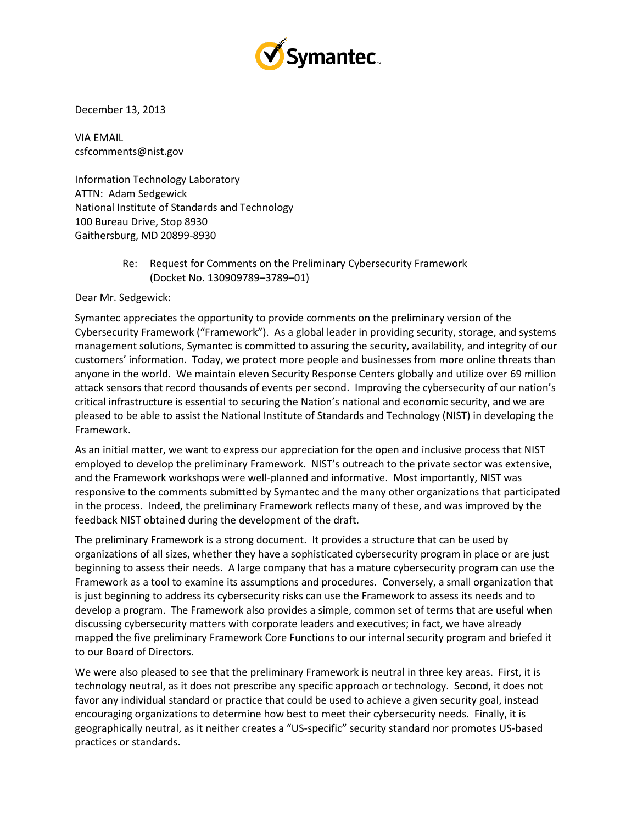

December 13, 2013

VIA EMAIL csfcomments@nist.gov

Information Technology Laboratory ATTN: Adam Sedgewick National Institute of Standards and Technology 100 Bureau Drive, Stop 8930 Gaithersburg, MD 20899-8930

> Re: Request for Comments on the Preliminary Cybersecurity Framework (Docket No. 130909789–3789–01)

Dear Mr. Sedgewick:

Symantec appreciates the opportunity to provide comments on the preliminary version of the Cybersecurity Framework ("Framework"). As a global leader in providing security, storage, and systems management solutions, Symantec is committed to assuring the security, availability, and integrity of our customers' information. Today, we protect more people and businesses from more online threats than anyone in the world. We maintain eleven Security Response Centers globally and utilize over 69 million attack sensors that record thousands of events per second. Improving the cybersecurity of our nation's critical infrastructure is essential to securing the Nation's national and economic security, and we are pleased to be able to assist the National Institute of Standards and Technology (NIST) in developing the Framework.

As an initial matter, we want to express our appreciation for the open and inclusive process that NIST employed to develop the preliminary Framework. NIST's outreach to the private sector was extensive, and the Framework workshops were well-planned and informative. Most importantly, NIST was responsive to the comments submitted by Symantec and the many other organizations that participated in the process. Indeed, the preliminary Framework reflects many of these, and was improved by the feedback NIST obtained during the development of the draft.

The preliminary Framework is a strong document. It provides a structure that can be used by organizations of all sizes, whether they have a sophisticated cybersecurity program in place or are just beginning to assess their needs. A large company that has a mature cybersecurity program can use the Framework as a tool to examine its assumptions and procedures. Conversely, a small organization that is just beginning to address its cybersecurity risks can use the Framework to assess its needs and to develop a program. The Framework also provides a simple, common set of terms that are useful when discussing cybersecurity matters with corporate leaders and executives; in fact, we have already mapped the five preliminary Framework Core Functions to our internal security program and briefed it to our Board of Directors.

We were also pleased to see that the preliminary Framework is neutral in three key areas. First, it is technology neutral, as it does not prescribe any specific approach or technology. Second, it does not favor any individual standard or practice that could be used to achieve a given security goal, instead encouraging organizations to determine how best to meet their cybersecurity needs. Finally, it is geographically neutral, as it neither creates a "US-specific" security standard nor promotes US-based practices or standards.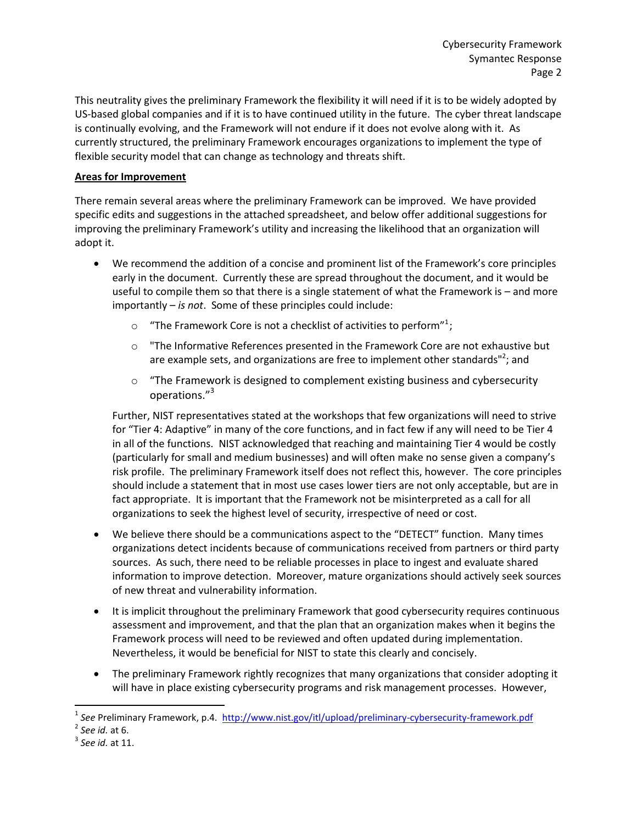This neutrality gives the preliminary Framework the flexibility it will need if it is to be widely adopted by US-based global companies and if it is to have continued utility in the future. The cyber threat landscape is continually evolving, and the Framework will not endure if it does not evolve along with it. As currently structured, the preliminary Framework encourages organizations to implement the type of flexible security model that can change as technology and threats shift.

## **Areas for Improvement**

There remain several areas where the preliminary Framework can be improved.We have provided specific edits and suggestions in the attached spreadsheet, and below offer additional suggestions for improving the preliminary Framework's utility and increasing the likelihood that an organization will adopt it.

- We recommend the addition of a concise and prominent list of the Framework's core principles early in the document. Currently these are spread throughout the document, and it would be useful to compile them so that there is a single statement of what the Framework is – and more importantly – *is not*. Some of these principles could include:
	- $\circ$  "The Framework Core is not a checklist of activities to perform"<sup>1</sup>;
	- o "The Informative References presented in the Framework Core are not exhaustive but are example sets, and organizations are free to implement other standards"<sup>2</sup>; and
	- $\circ$  "The Framework is designed to complement existing business and cybersecurity operations."<sup>3</sup>

Further, NIST representatives stated at the workshops that few organizations will need to strive for "Tier 4: Adaptive" in many of the core functions, and in fact few if any will need to be Tier 4 in all of the functions. NIST acknowledged that reaching and maintaining Tier 4 would be costly (particularly for small and medium businesses) and will often make no sense given a company's risk profile. The preliminary Framework itself does not reflect this, however. The core principles should include a statement that in most use cases lower tiers are not only acceptable, but are in fact appropriate. It is important that the Framework not be misinterpreted as a call for all organizations to seek the highest level of security, irrespective of need or cost.

- We believe there should be a communications aspect to the "DETECT" function. Many times organizations detect incidents because of communications received from partners or third party sources. As such, there need to be reliable processes in place to ingest and evaluate shared information to improve detection. Moreover, mature organizations should actively seek sources of new threat and vulnerability information.
- It is implicit throughout the preliminary Framework that good cybersecurity requires continuous assessment and improvement, and that the plan that an organization makes when it begins the Framework process will need to be reviewed and often updated during implementation. Nevertheless, it would be beneficial for NIST to state this clearly and concisely.
- The preliminary Framework rightly recognizes that many organizations that consider adopting it will have in place existing cybersecurity programs and risk management processes. However,

 $\overline{\phantom{a}}$ 

<sup>&</sup>lt;sup>1</sup> See Preliminary Framework, p.4.<http://www.nist.gov/itl/upload/preliminary-cybersecurity-framework.pdf>

<sup>2</sup> *See id.* at 6.

<sup>3</sup> *See id.* at 11.